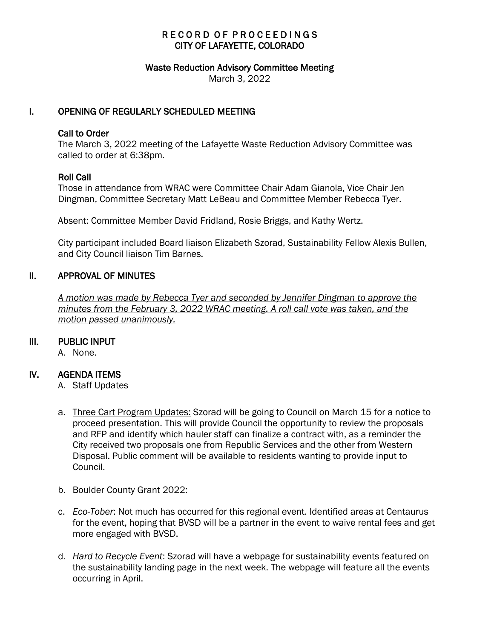# RECORD OF PROCEEDINGS CITY OF LAFAYETTE, COLORADO

#### Waste Reduction Advisory Committee Meeting

March 3, 2022

## I. OPENING OF REGULARLY SCHEDULED MEETING

#### Call to Order

The March 3, 2022 meeting of the Lafayette Waste Reduction Advisory Committee was called to order at 6:38pm.

### Roll Call

Those in attendance from WRAC were Committee Chair Adam Gianola, Vice Chair Jen Dingman, Committee Secretary Matt LeBeau and Committee Member Rebecca Tyer.

Absent: Committee Member David Fridland, Rosie Briggs, and Kathy Wertz.

City participant included Board liaison Elizabeth Szorad, Sustainability Fellow Alexis Bullen, and City Council liaison Tim Barnes.

### II. APPROVAL OF MINUTES

 *A motion was made by Rebecca Tyer and seconded by Jennifer Dingman to approve the minutes from the February 3, 2022 WRAC meeting. A roll call vote was taken, and the motion passed unanimously.*

#### III. PUBLIC INPUT

A. None.

# IV. AGENDA ITEMS

- A. Staff Updates
- a. Three Cart Program Updates: Szorad will be going to Council on March 15 for a notice to proceed presentation. This will provide Council the opportunity to review the proposals and RFP and identify which hauler staff can finalize a contract with, as a reminder the City received two proposals one from Republic Services and the other from Western Disposal. Public comment will be available to residents wanting to provide input to Council.
- b. Boulder County Grant 2022:
- c. *Eco-Tober*: Not much has occurred for this regional event. Identified areas at Centaurus for the event, hoping that BVSD will be a partner in the event to waive rental fees and get more engaged with BVSD.
- d. *Hard to Recycle Event*: Szorad will have a webpage for sustainability events featured on the sustainability landing page in the next week. The webpage will feature all the events occurring in April.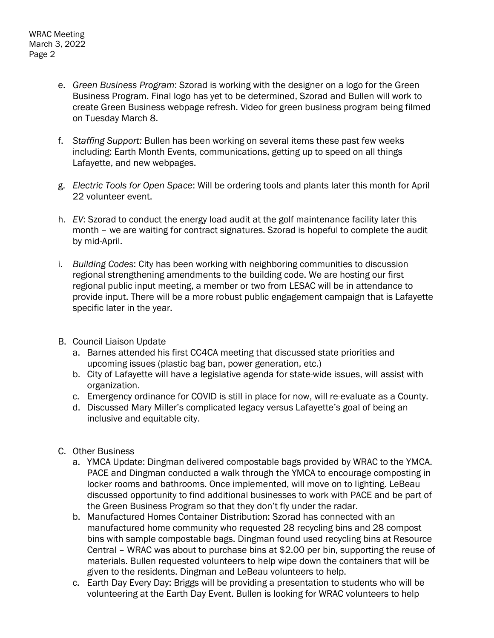- e. *Green Business Program*: Szorad is working with the designer on a logo for the Green Business Program. Final logo has yet to be determined, Szorad and Bullen will work to create Green Business webpage refresh. Video for green business program being filmed on Tuesday March 8.
- f. *Staffing Support:* Bullen has been working on several items these past few weeks including: Earth Month Events, communications, getting up to speed on all things Lafayette, and new webpages.
- g. *Electric Tools for Open Space*: Will be ordering tools and plants later this month for April 22 volunteer event.
- h. *EV*: Szorad to conduct the energy load audit at the golf maintenance facility later this month – we are waiting for contract signatures. Szorad is hopeful to complete the audit by mid-April.
- i. *Building Codes*: City has been working with neighboring communities to discussion regional strengthening amendments to the building code. We are hosting our first regional public input meeting, a member or two from LESAC will be in attendance to provide input. There will be a more robust public engagement campaign that is Lafayette specific later in the year.
- B. Council Liaison Update
	- a. Barnes attended his first CC4CA meeting that discussed state priorities and upcoming issues (plastic bag ban, power generation, etc.)
	- b. City of Lafayette will have a legislative agenda for state-wide issues, will assist with organization.
	- c. Emergency ordinance for COVID is still in place for now, will re-evaluate as a County.
	- d. Discussed Mary Miller's complicated legacy versus Lafayette's goal of being an inclusive and equitable city.
- C. Other Business
	- a. YMCA Update: Dingman delivered compostable bags provided by WRAC to the YMCA. PACE and Dingman conducted a walk through the YMCA to encourage composting in locker rooms and bathrooms. Once implemented, will move on to lighting. LeBeau discussed opportunity to find additional businesses to work with PACE and be part of the Green Business Program so that they don't fly under the radar.
	- b. Manufactured Homes Container Distribution: Szorad has connected with an manufactured home community who requested 28 recycling bins and 28 compost bins with sample compostable bags. Dingman found used recycling bins at Resource Central – WRAC was about to purchase bins at \$2.00 per bin, supporting the reuse of materials. Bullen requested volunteers to help wipe down the containers that will be given to the residents. Dingman and LeBeau volunteers to help.
	- c. Earth Day Every Day: Briggs will be providing a presentation to students who will be volunteering at the Earth Day Event. Bullen is looking for WRAC volunteers to help